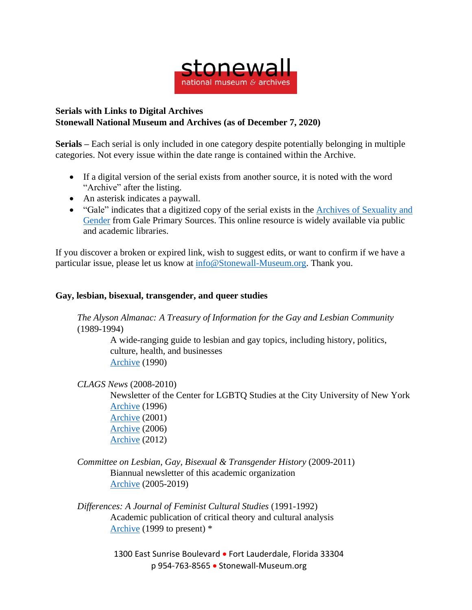

## **Serials with Links to Digital Archives Stonewall National Museum and Archives (as of December 7, 2020)**

**Serials –** Each serial is only included in one category despite potentially belonging in multiple categories. Not every issue within the date range is contained within the Archive.

- If a digital version of the serial exists from another source, it is noted with the word "Archive" after the listing.
- An asterisk indicates a paywall.
- "Gale" indicates that a digitized copy of the serial exists in the Archives of [Sexuality](https://www.gale.com/primary-sources/archives-of-sexuality-and-gender) and [Gender](https://www.gale.com/primary-sources/archives-of-sexuality-and-gender) from Gale Primary Sources. This online resource is widely available via public and academic libraries.

If you discover a broken or expired link, wish to suggest edits, or want to confirm if we have a particular issue, please let us know at [info@Stonewall-Museum.org.](mailto:info@Stonewall-Museum.org) Thank you.

## **Gay, lesbian, bisexual, transgender, and queer studies**

*The Alyson Almanac: A Treasury of Information for the Gay and Lesbian Community* (1989-1994)

> A wide-ranging guide to lesbian and gay topics, including history, politics, culture, health, and businesses [Archive](https://archive.org/details/alysonalmanactr00alys) (1990)

*CLAGS News* (2008-2010)

Newsletter of the Center for LGBTQ Studies at the City University of New York [Archive](https://cdha.cuny.edu/files/original/c1cc86b35ad05fa5c988b8fd2ad0bfd0.pdf) (1996) [Archive](http://bcrw.barnard.edu/archive/education/CLAGSnews.pdf) (2001) [Archive](https://cdn.atria.nl/ezines/email/CLAGnews/2006/No1.pdf) (2006)

[Archive](http://www.westerling.nu/wp-content/uploads/2015/05/CLAGS-Newsletter-Fall-2012.pdf) (2012)

## *Committee on Lesbian, Gay, Bisexual & Transgender History* (2009-2011) Biannual newsletter of this academic organization [Archive](http://clgbthistory.org/newsletter) (2005-2019)

*Differences: A Journal of Feminist Cultural Studies* (1991-1992) Academic publication of critical theory and cultural analysis [Archive](https://read.dukeupress.edu/differences/issue) (1999 to present) \*

> 1300 East Sunrise Boulevard • Fort Lauderdale, Florida 33304 p 954-763-8565 • Stonewall-Museum.org